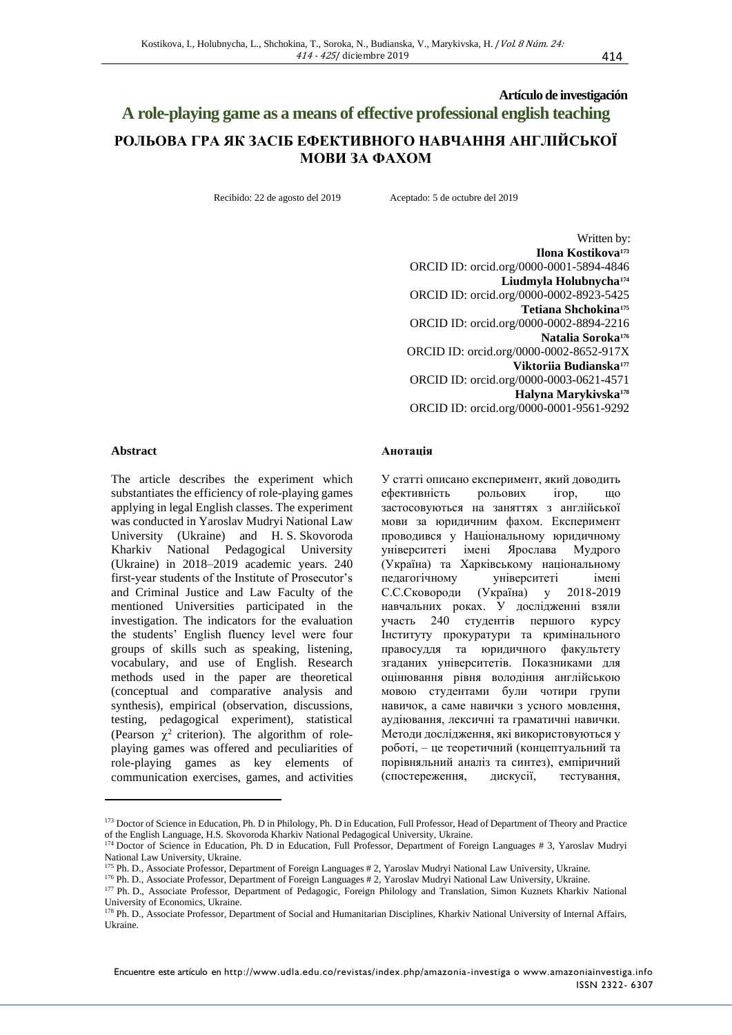# **Artículo de investigación A role-playing game as a means of effective professional english teaching РОЛЬОВА ГРА ЯК ЗАСІБ ЕФЕКТИВНОГО НАВЧАННЯ АНГЛІЙСЬКОЇ МОВИ ЗА ФАХОМ**

Recibido: 22 de agosto del 2019 Aceptado: 5 de octubre del 2019

Written by: **Ilona Kostikova<sup>173</sup>** ORCID ID: orcid.org/0000-0001-5894-4846 **Liudmyla Holubnycha<sup>174</sup>** ORCID ID: orcid.org/0000-0002-8923-5425 **Tetiana Shchokina<sup>175</sup>** ORCID ID: orcid.org/0000-0002-8894-2216 **Natalia Soroka<sup>176</sup>** ORCID ID: orcid.org/0000-0002-8652-917X **Viktoriia Budianska<sup>177</sup>** ORCID ID: orcid.org/0000-0003-0621-4571 **Halyna Marykivska<sup>178</sup>** ORCID ID: orcid.org/0000-0001-9561-9292

#### **Abstract**

The article describes the experiment which substantiates the efficiency of role-playing games applying in legal English classes. The experiment was conducted in Yaroslav Mudryi National Law University (Ukraine) and H. S. Skovoroda Kharkiv National Pedagogical University (Ukraine) in 2018–2019 academic years. 240 first-year students of the Institute of Prosecutor's and Criminal Justice and Law Faculty of the mentioned Universities participated in the investigation. The indicators for the evaluation the students' English fluency level were four groups of skills such as speaking, listening, vocabulary, and use of English. Research methods used in the paper are theoretical (conceptual and comparative analysis and synthesis), empirical (observation, discussions, testing, pedagogical experiment), statistical (Pearson  $\chi^2$  criterion). The algorithm of roleplaying games was offered and peculiarities of role-playing games as key elements of communication exercises, games, and activities

### **Анотація**

У статті описано експеримент, який доводить ефективність рольових ігор, що застосовуються на заняттях з англійської мови за юридичним фахом. Експеримент проводився у Національному юридичному університеті імені Ярослава Мудрого (Україна) та Харківському національному педагогічному університеті імені С.С.Сковороди (Україна) у 2018-2019 навчальних роках. У дослідженні взяли участь 240 студентів першого курсу Інституту прокуратури та кримінального правосуддя та юридичного факультету згаданих університетів. Показниками для оцінювання рівня володіння англійською мовою студентами були чотири групи навичок, а саме навички з усного мовлення, аудіювання, лексичні та граматичні навички. Методи дослідження, які використовуються у роботі, – це теоретичний (концептуальний та порівняльний аналіз та синтез), емпіричний (спостереження, дискусії, тестування,

<sup>173</sup> Doctor of Science in Education, Ph. D in Philology, Ph. D in Education, Full Professor, Head of Department of Theory and Practice of the English Language, H.S. Skovoroda Kharkiv National Pedagogical University, Ukraine.

<sup>&</sup>lt;sup>174</sup> Doctor of Science in Education, Ph. D in Education, Full Professor, Department of Foreign Languages # 3, Yaroslav Mudryi National Law University, Ukraine.

<sup>175</sup> Ph. D., Associate Professor, Department of Foreign Languages # 2, Yaroslav Mudryi National Law University, Ukraine.

<sup>176</sup> Ph. D., Associate Professor, Department of Foreign Languages # 2, Yaroslav Mudryi National Law University, Ukraine.

<sup>&</sup>lt;sup>177</sup> Ph. D., Associate Professor, Department of Pedagogic, Foreign Philology and Translation, Simon Kuznets Kharkiv National University of Economics, Ukraine.

<sup>&</sup>lt;sup>178</sup> Ph. D., Associate Professor, Department of Social and Humanitarian Disciplines, Kharkiv National University of Internal Affairs, Ukraine.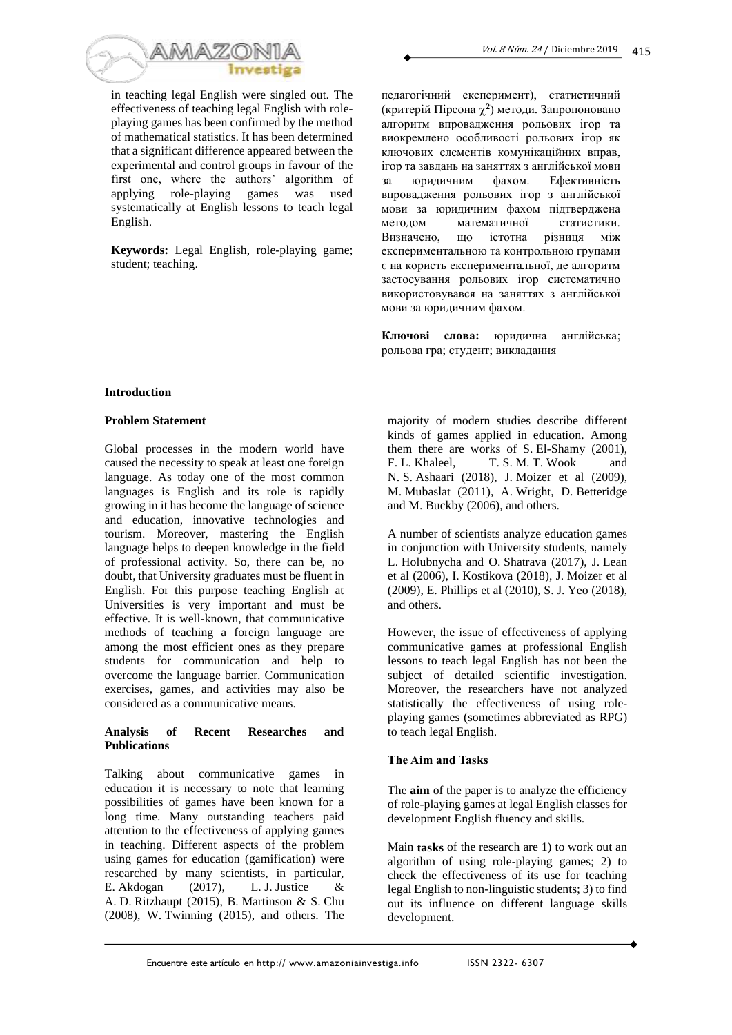

in teaching legal English were singled out. The effectiveness of teaching legal English with roleplaying games has been confirmed by the method of mathematical statistics. It has been determined that a significant difference appeared between the experimental and control groups in favour of the first one, where the authors' algorithm of applying role-playing games was used systematically at English lessons to teach legal English.

**Keywords:** Legal English, role-playing game; student; teaching.

педагогічний експеримент), статистичний (критерій Пірсона **2** ) методи. Запропоновано алгоритм впровадження рольових ігор та виокремлено особливості рольових ігор як ключових елементів комунікаційних вправ, ігор та завдань на заняттях з англійської мови за юридичним фахом. Ефективність впровадження рольових ігор з англійської мови за юридичним фахом підтверджена<br>метолом математичної статистики. методом математичної стати<br>Визначено, що істотна різниця Визначено, що істотна різниця між експериментальною та контрольною групами є на користь експериментальної, де алгоритм застосування рольових ігор систематично використовувався на заняттях з англійської мови за юридичним фахом.

**Ключові слова:** юридична англійська; рольова гра; студент; викладання

# **Introduction**

### **Problem Statement**

Global processes in the modern world have caused the necessity to speak at least one foreign language. As today one of the most common languages is English and its role is rapidly growing in it has become the language of science and education, innovative technologies and tourism. Moreover, mastering the English language helps to deepen knowledge in the field of professional activity. So, there can be, no doubt, that University graduates must be fluent in English. For this purpose teaching English at Universities is very important and must be effective. It is well-known, that communicative methods of teaching a foreign language are among the most efficient ones as they prepare students for communication and help to overcome the language barrier. Communication exercises, games, and activities may also be considered as a communicative means.

# **Analysis of Recent Researches and Publications**

Talking about communicative games in education it is necessary to note that learning possibilities of games have been known for a long time. Many outstanding teachers paid attention to the effectiveness of applying games in teaching. Different aspects of the problem using games for education (gamification) were researched by many scientists, in particular, E. Akdogan (2017), L. J. Justice & A. D. Ritzhaupt (2015), B. Martinson & S. Chu (2008), W. Twinning (2015), and others. The majority of modern studies describe different kinds of games applied in education. Among them there are works of S. El-Shamy (2001), F. L. Khaleel, T. S. M. T. Wook and N. S. Ashaari (2018), J. Moizer et al (2009), M. Mubaslat (2011), A. Wright, D. Betteridge and M. Buckby (2006), and others.

A number of scientists analyze education games in conjunction with University students, namely L. Holubnycha and O. Shatrava (2017), J. Lean et al (2006), I. Kostikova (2018), J. Moizer et al (2009), E. Phillips et al (2010), S. J. Yeo (2018), and others.

However, the issue of effectiveness of applying communicative games at professional English lessons to teach legal English has not been the subject of detailed scientific investigation. Moreover, the researchers have not analyzed statistically the effectiveness of using roleplaying games (sometimes abbreviated as RPG) to teach legal English.

# **The Aim and Tasks**

The **aim** of the paper is to analyze the efficiency of role-playing games at legal English classes for development English fluency and skills.

Main **tasks** of the research are 1) to work out an algorithm of using role-playing games; 2) to check the effectiveness of its use for teaching legal English to non-linguistic students; 3) to find out its influence on different language skills development.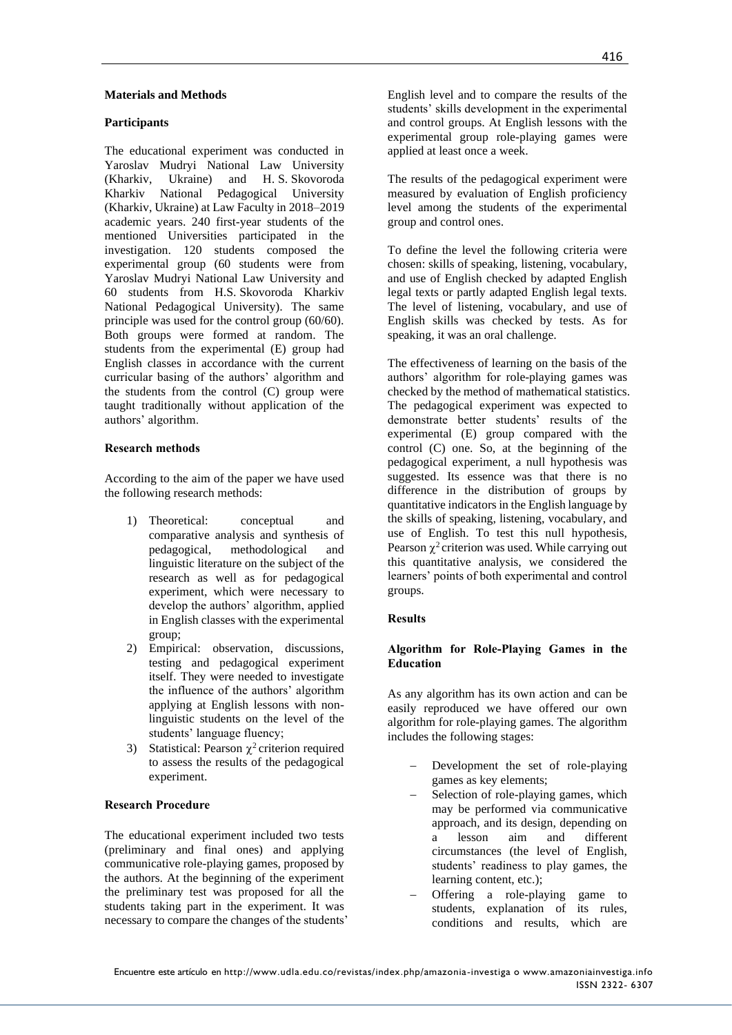# **Materials and Methods**

### **Participants**

The educational experiment was conducted in Yaroslav Mudryi National Law University (Kharkiv, Ukraine) and H. S. Skovoroda Kharkiv National Pedagogical University (Kharkiv, Ukraine) at Law Faculty in 2018–2019 academic years. 240 first-year students of the mentioned Universities participated in the investigation. 120 students composed the experimental group (60 students were from Yaroslav Mudryi National Law University and 60 students from H.S. Skovoroda Kharkiv National Pedagogical University). The same principle was used for the control group (60/60). Both groups were formed at random. The students from the experimental (E) group had English classes in accordance with the current curricular basing of the authors' algorithm and the students from the control (C) group were taught traditionally without application of the authors' algorithm.

### **Research methods**

According to the aim of the paper we have used the following research methods:

- 1) Theoretical: conceptual and comparative analysis and synthesis of pedagogical, methodological and linguistic literature on the subject of the research as well as for pedagogical experiment, which were necessary to develop the authors' algorithm, applied in English classes with the experimental group;
- 2) Empirical: observation, discussions, testing and pedagogical experiment itself. They were needed to investigate the influence of the authors' algorithm applying at English lessons with nonlinguistic students on the level of the students' language fluency;
- 3) Statistical: Pearson  $\chi^2$  criterion required to assess the results of the pedagogical experiment.

# **Research Procedure**

The educational experiment included two tests (preliminary and final ones) and applying communicative role-playing games, proposed by the authors. At the beginning of the experiment the preliminary test was proposed for all the students taking part in the experiment. It was necessary to compare the changes of the students' English level and to compare the results of the students' skills development in the experimental and control groups. At English lessons with the experimental group role-playing games were applied at least once a week.

The results of the pedagogical experiment were measured by evaluation of English proficiency level among the students of the experimental group and control ones.

To define the level the following criteria were chosen: skills of speaking, listening, vocabulary, and use of English checked by adapted English legal texts or partly adapted English legal texts. The level of listening, vocabulary, and use of English skills was checked by tests. As for speaking, it was an oral challenge.

The effectiveness of learning on the basis of the authors' algorithm for role-playing games was checked by the method of mathematical statistics. The pedagogical experiment was expected to demonstrate better students' results of the experimental (E) group compared with the control (C) one. So, at the beginning of the pedagogical experiment, a null hypothesis was suggested. Its essence was that there is no difference in the distribution of groups by quantitative indicators in the English language by the skills of speaking, listening, vocabulary, and use of English. To test this null hypothesis, Pearson  $\chi^2$  criterion was used. While carrying out this quantitative analysis, we considered the learners' points of both experimental and control groups.

### **Results**

### **Algorithm for Role-Playing Games in the Education**

As any algorithm has its own action and can be easily reproduced we have offered our own algorithm for role-playing games. The algorithm includes the following stages:

- Development the set of role-playing games as key elements;
- Selection of role-playing games, which may be performed via communicative approach, and its design, depending on a lesson aim and different circumstances (the level of English, students' readiness to play games, the learning content, etc.);
- − Offering a role-playing game to students, explanation of its rules, conditions and results, which are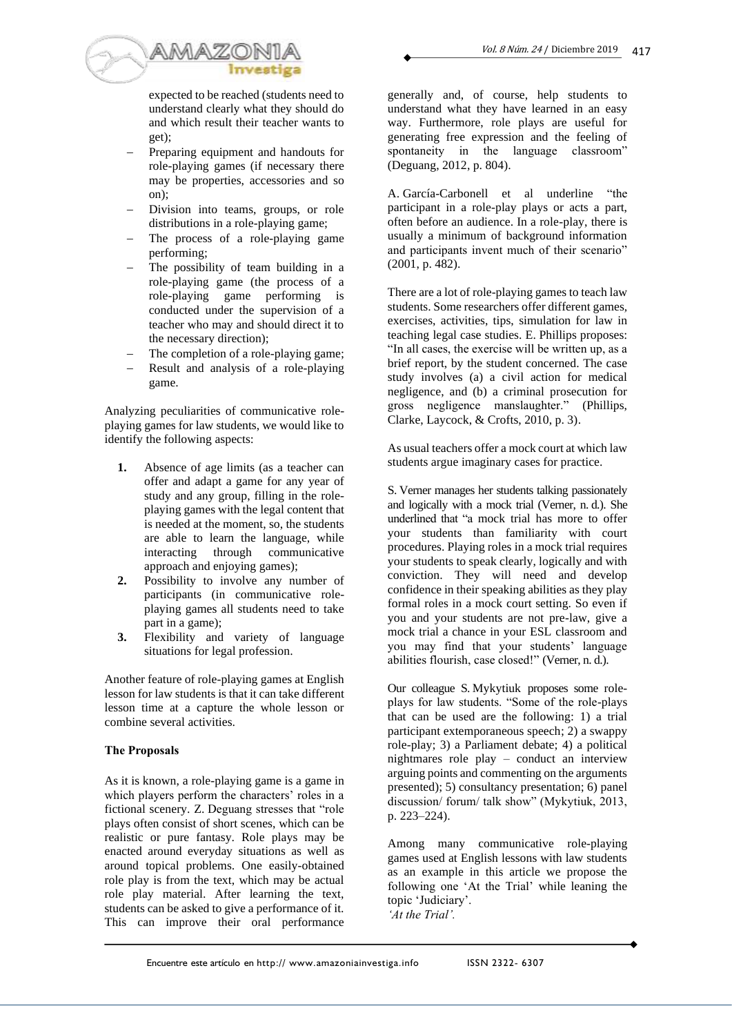

expected to be reached (students need to understand clearly what they should do and which result their teacher wants to get);

- Preparing equipment and handouts for role-playing games (if necessary there may be properties, accessories and so  $\overline{on}$ ):
- Division into teams, groups, or role distributions in a role-playing game;
- The process of a role-playing game performing;
- The possibility of team building in a role-playing game (the process of a role-playing game performing is conducted under the supervision of a teacher who may and should direct it to the necessary direction);
- The completion of a role-playing game;
- Result and analysis of a role-playing game.

Analyzing peculiarities of communicative roleplaying games for law students, we would like to identify the following aspects:

- **1.** Absence of age limits (as a teacher can offer and adapt a game for any year of study and any group, filling in the roleplaying games with the legal content that is needed at the moment, so, the students are able to learn the language, while interacting through communicative approach and enjoying games);
- **2.** Possibility to involve any number of participants (in communicative roleplaying games all students need to take part in a game);
- **3.** Flexibility and variety of language situations for legal profession.

Another feature of role-playing games at English lesson for law students is that it can take different lesson time at a capture the whole lesson or combine several activities.

# **The Proposals**

As it is known, a role-playing game is a game in which players perform the characters' roles in a fictional scenery. Z. Deguang stresses that "role plays often consist of short scenes, which can be realistic or pure fantasy. Role plays may be enacted around everyday situations as well as around topical problems. One easily-obtained role play is from the text, which may be actual role play material. After learning the text, students can be asked to give a performance of it. This can improve their oral performance generally and, of course, help students to understand what they have learned in an easy way. Furthermore, role plays are useful for generating free expression and the feeling of spontaneity in the language classroom" (Deguang, 2012, p. 804).

A. García-Carbonell et al underline "the participant in a role-play plays or acts a part, often before an audience. In a role-play, there is usually a minimum of background information and participants invent much of their scenario"  $(2001, p. 482)$ .

There are a lot of role-playing games to teach law students. Some researchers offer different games*,*  exercises, activities, tips, simulation for law in teaching legal case studies. E. Phillips proposes: "In all cases, the exercise will be written up, as a brief report, by the student concerned. The case study involves (a) a civil action for medical negligence, and (b) a criminal prosecution for gross negligence manslaughter." (Phillips, Clarke, Laycock, & Crofts, 2010, p. 3).

As usual teachers offer a mock court at which law students argue imaginary cases for practice.

S. Verner manages her students talking passionately and logically with a mock trial (Verner, n. d.). She underlined that "a mock trial has more to offer your students than familiarity with court procedures. Playing roles in a mock trial requires your students to speak clearly, logically and with conviction. They will need and develop confidence in their speaking abilities as they play formal roles in a mock court setting. So even if you and your students are not pre-law, give a mock trial a chance in your ESL classroom and you may find that your students' language abilities flourish, case closed!" (Verner, n. d.).

Our colleague S. Mykytiuk proposes some roleplays for law students. "Some of the role-plays that can be used are the following: 1) a trial participant extemporaneous speech; 2) a swappy role-play; 3) a Parliament debate; 4) a political nightmares role play – conduct an interview arguing points and commenting on the arguments presented); 5) consultancy presentation; 6) panel discussion/ forum/ talk show" (Mykytiuk, 2013, p. 223–224).

Among many communicative role-playing games used at English lessons with law students as an example in this article we propose the following one 'At the Trial' while leaning the topic 'Judiciary'. *'At the Trial'.*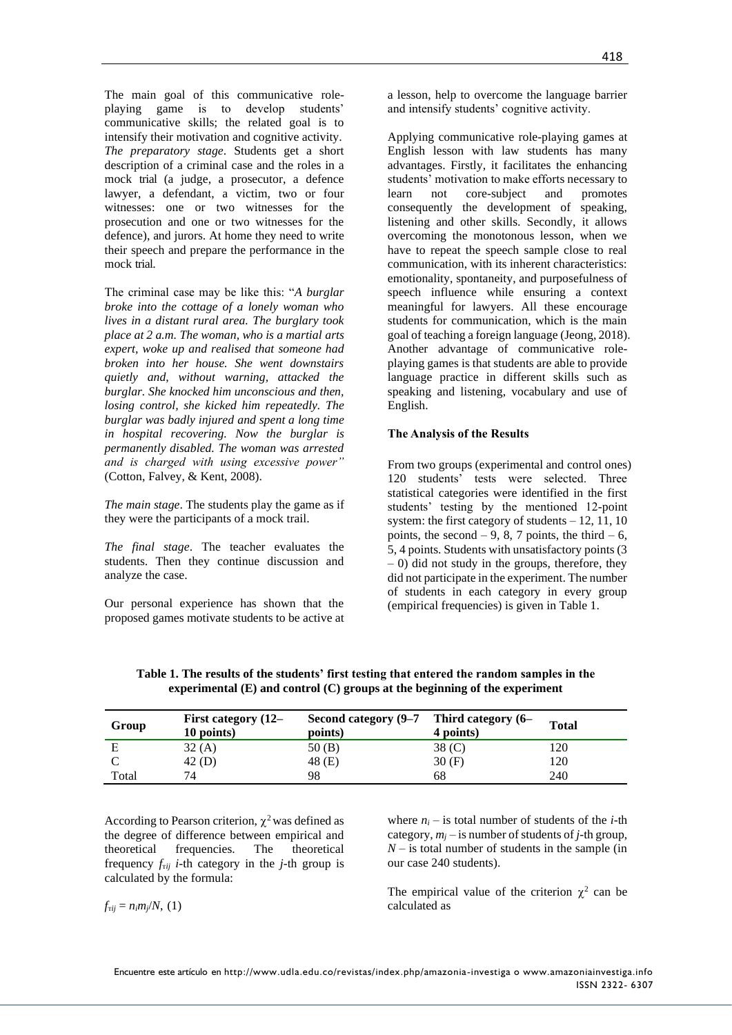The main goal of this communicative roleplaying game is to develop students' communicative skills; the related goal is to intensify their motivation and cognitive activity. *The preparatory stage*. Students get a short description of a criminal case and the roles in a mock trial (a judge, a prosecutor, a defence lawyer, a defendant, a victim, two or four witnesses: one or two witnesses for the prosecution and one or two witnesses for the defence), and jurors. At home they need to write their speech and prepare the performance in the mock trial.

The criminal case may be like this: "*A burglar broke into the cottage of a lonely woman who lives in a distant rural area. The burglary took place at 2 a.m. The woman, who is a martial arts expert, woke up and realised that someone had broken into her house. She went downstairs quietly and, without warning, attacked the burglar. She knocked him unconscious and then, losing control, she kicked him repeatedly. The burglar was badly injured and spent a long time in hospital recovering. Now the burglar is permanently disabled. The woman was arrested and is charged with using excessive power"*  (Cotton, Falvey, & Kent, 2008).

*The main stage*. The students play the game as if they were the participants of a mock trail.

*The final stage*. The teacher evaluates the students. Then they continue discussion and analyze the case.

Our personal experience has shown that the proposed games motivate students to be active at a lesson, help to overcome the language barrier and intensify students' cognitive activity.

Applying communicative role-playing games at English lesson with law students has many advantages. Firstly, it facilitates the enhancing students' motivation to make efforts necessary to learn not core-subject and promotes consequently the development of speaking, listening and other skills. Secondly, it allows overcoming the monotonous lesson, when we have to repeat the speech sample close to real communication, with its inherent characteristics: emotionality, spontaneity, and purposefulness of speech influence while ensuring a context meaningful for lawyers. All these encourage students for communication, which is the main goal of teaching a foreign language (Jeong, 2018). Another advantage of communicative roleplaying games is that students are able to provide language practice in different skills such as speaking and listening, vocabulary and use of English.

### **The Analysis of the Results**

From two groups (experimental and control ones) 120 students' tests were selected. Three statistical categories were identified in the first students' testing by the mentioned 12-point system: the first category of students  $-12$ , 11, 10 points, the second  $-9$ , 8, 7 points, the third  $-6$ , 5, 4 points. Students with unsatisfactory points (3 – 0) did not study in the groups, therefore, they did not participate in the experiment. The number of students in each category in every group (empirical frequencies) is given in Table 1.

|       | $\sim$                            |                                                        |           |              |  |
|-------|-----------------------------------|--------------------------------------------------------|-----------|--------------|--|
| Group | First category (12–<br>10 points) | Second category $(9-7$ Third category $(6-$<br>points) | 4 points) | <b>Total</b> |  |

E  $32 (A)$   $50 (B)$   $38 (C)$   $120$ C  $42 \text{ (D)}$   $48 \text{ (E)}$   $30 \text{ (F)}$   $120$ Total 74 98 68 240

**Table 1. The results of the students' first testing that entered the random samples in the experimental (E) and control (C) groups at the beginning of the experiment**

According to Pearson criterion,  $\chi^2$  was defined as the degree of difference between empirical and theoretical frequencies. The theoretical frequency  $f_{rij}$  *i*-th category in the *j*-th group is calculated by the formula:

 $f_{\text{r}ij} = n_i m_j/N$ , (1)

where  $n_i$  – is total number of students of the *i*-th category,  $m_i$  – is number of students of *j*-th group,  $N -$  is total number of students in the sample (in our case 240 students).

The empirical value of the criterion  $\chi^2$  can be calculated as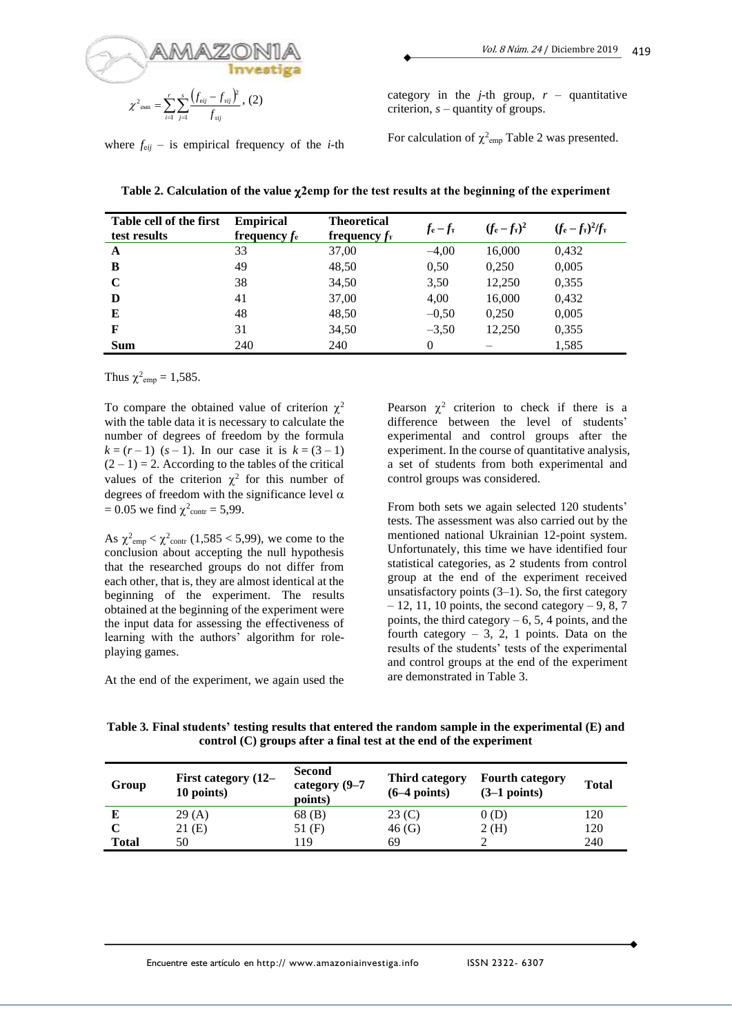

where  $f_{eij}$  – is empirical frequency of the *i*-th

category in the *j*-th group,  $r -$  quantitative criterion, *s* – quantity of groups.

For calculation of  $\chi^2$ <sub>emp</sub> Table 2 was presented.

| Table cell of the first<br>test results | <b>Empirical</b><br>frequency $f_e$ | <b>Theoretical</b><br>frequency $f_{\rm T}$ | $f_e - f_\text{T}$ | $(f_e - f_\text{T})^2$ | $(f_e - f_{\rm T})^2/f_{\rm T}$ |
|-----------------------------------------|-------------------------------------|---------------------------------------------|--------------------|------------------------|---------------------------------|
| A                                       | 33                                  | 37,00                                       | $-4,00$            | 16,000                 | 0,432                           |
| B                                       | 49                                  | 48,50                                       | 0.50               | 0,250                  | 0,005                           |
| $\mathbf C$                             | 38                                  | 34,50                                       | 3,50               | 12,250                 | 0,355                           |
| D                                       | 41                                  | 37,00                                       | 4,00               | 16,000                 | 0,432                           |
| E                                       | 48                                  | 48,50                                       | $-0,50$            | 0,250                  | 0,005                           |
| F                                       | 31                                  | 34,50                                       | $-3,50$            | 12,250                 | 0,355                           |
| <b>Sum</b>                              | 240                                 | 240                                         | $\Omega$           |                        | 1,585                           |

**Table 2. Calculation of the value 2еmp for the test results at the beginning of the experiment**

Thus  $\chi^2_{\text{emp}} = 1,585$ .

To compare the obtained value of criterion  $\chi^2$ with the table data it is necessary to calculate the number of degrees of freedom by the formula  $k = (r - 1)$  (*s* – 1). In our case it is  $k = (3 - 1)$  $(2 - 1) = 2$ . According to the tables of the critical values of the criterion  $\chi^2$  for this number of degrees of freedom with the significance level  $\alpha$  $= 0.05$  we find  $\chi^2_{\text{contr}} = 5.99$ .

As  $\chi^2_{\text{emp}} < \chi^2_{\text{contr}}$  (1,585 < 5,99), we come to the conclusion about accepting the null hypothesis that the researched groups do not differ from each other, that is, they are almost identical at the beginning of the experiment. The results obtained at the beginning of the experiment were the input data for assessing the effectiveness of learning with the authors' algorithm for roleplaying games.

At the end of the experiment, we again used the

Pearson  $\chi^2$  criterion to check if there is a difference between the level of students' experimental and control groups after the experiment. In the course of quantitative analysis, a set of students from both experimental and control groups was considered.

From both sets we again selected 120 students' tests. The assessment was also carried out by the mentioned national Ukrainian 12-point system. Unfortunately, this time we have identified four statistical categories, as 2 students from control group at the end of the experiment received unsatisfactory points  $(3-1)$ . So, the first category  $-12$ , 11, 10 points, the second category  $-9$ , 8, 7 points, the third category  $-6$ , 5, 4 points, and the fourth category  $-3$ , 2, 1 points. Data on the results of the students' tests of the experimental and control groups at the end of the experiment are demonstrated in Table 3.

**Table 3***.* **Final students' testing results that entered the random sample in the experimental (E) and control (C) groups after a final test at the end of the experiment**

| Group        | First category (12–<br>10 points) | <b>Second</b><br>category (9–7<br>points) | Third category<br>$(6-4$ points) | <b>Fourth category</b><br>$(3-1$ points) | <b>Total</b> |
|--------------|-----------------------------------|-------------------------------------------|----------------------------------|------------------------------------------|--------------|
|              | 29(A)                             | 68 (B)                                    | 23 (C)                           | 0(D)                                     | 120          |
|              | 21 (E)                            | $51$ (F)                                  | 46(G)                            | 2(H)                                     | 120          |
| <b>Total</b> | 50                                | 19                                        | 69                               |                                          | 240          |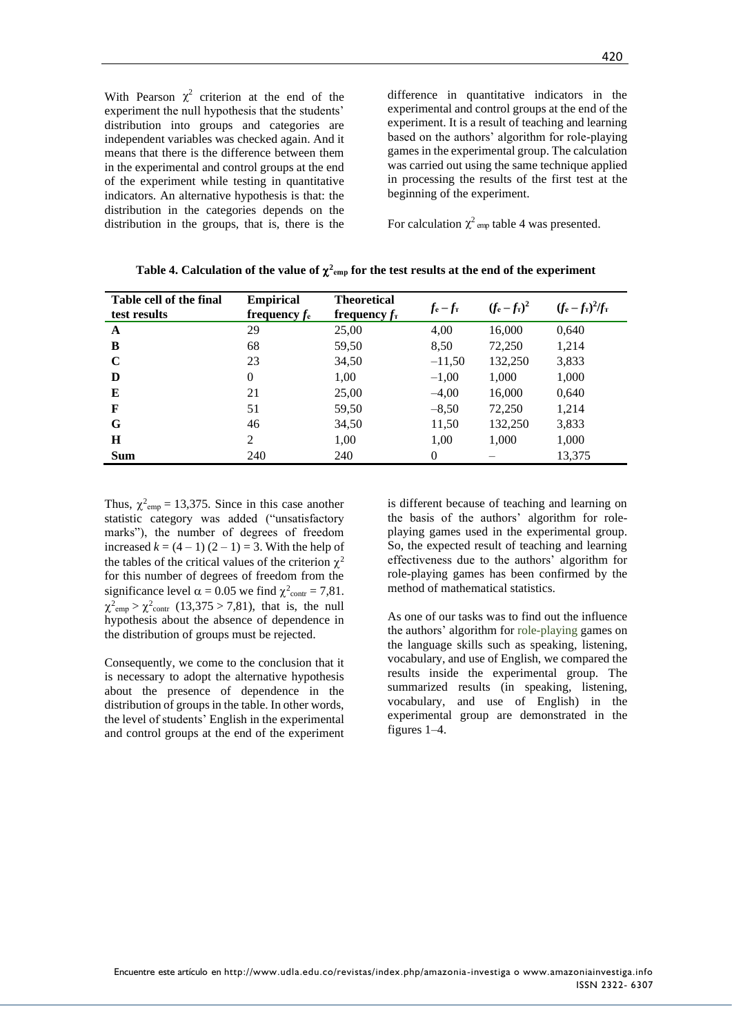With Pearson  $\chi^2$  criterion at the end of the experiment the null hypothesis that the students' distribution into groups and categories are independent variables was checked again. And it means that there is the difference between them in the experimental and control groups at the end of the experiment while testing in quantitative indicators. An alternative hypothesis is that: the distribution in the categories depends on the distribution in the groups, that is, there is the

difference in quantitative indicators in the experimental and control groups at the end of the experiment. It is a result of teaching and learning based on the authors' algorithm for role-playing games in the experimental group. The calculation was carried out using the same technique applied in processing the results of the first test at the beginning of the experiment.

For calculation  $\chi^2$  cm table 4 was presented.

| Table cell of the final<br>test results | <b>Empirical</b><br>frequency $f_e$ | <b>Theoretical</b><br>frequency $f_{\text{\tiny T}}$ | $f_e - f_\text{T}$ | $(f_e - f_\text{T})^2$ | $(f_e - f_{\rm T})^2/f_{\rm T}$ |
|-----------------------------------------|-------------------------------------|------------------------------------------------------|--------------------|------------------------|---------------------------------|
| A                                       | 29                                  | 25,00                                                | 4,00               | 16,000                 | 0,640                           |
| B                                       | 68                                  | 59,50                                                | 8,50               | 72,250                 | 1,214                           |
| C                                       | 23                                  | 34,50                                                | $-11,50$           | 132,250                | 3,833                           |
| D                                       | $\Omega$                            | 1,00                                                 | $-1,00$            | 1,000                  | 1,000                           |
| E                                       | 21                                  | 25,00                                                | $-4,00$            | 16,000                 | 0,640                           |
| F                                       | 51                                  | 59,50                                                | $-8,50$            | 72,250                 | 1,214                           |
| G                                       | 46                                  | 34,50                                                | 11,50              | 132,250                | 3,833                           |
| Н                                       | $\overline{2}$                      | 1,00                                                 | 1,00               | 1,000                  | 1,000                           |
| <b>Sum</b>                              | 240                                 | 240                                                  | $\Omega$           |                        | 13,375                          |

Table 4. Calculation of the value of  $\chi^2$ <sub>cmp</sub> for the test results at the end of the experiment

Thus,  $\chi^2_{\text{emp}} = 13,375$ . Since in this case another statistic category was added ("unsatisfactory marks"), the number of degrees of freedom increased  $k = (4 - 1) (2 - 1) = 3$ . With the help of the tables of the critical values of the criterion  $\chi^2$ for this number of degrees of freedom from the significance level  $\alpha = 0.05$  we find  $\chi^2_{\text{contr}} = 7.81$ .  $\chi^2_{\text{emp}} > \chi^2_{\text{contr}}$  (13,375 > 7,81), that is, the null hypothesis about the absence of dependence in the distribution of groups must be rejected.

Consequently, we come to the conclusion that it is necessary to adopt the alternative hypothesis about the presence of dependence in the distribution of groups in the table. In other words, the level of students' English in the experimental and control groups at the end of the experiment is different because of teaching and learning on the basis of the authors' algorithm for roleplaying games used in the experimental group. So, the expected result of teaching and learning effectiveness due to the authors' algorithm for role-playing games has been confirmed by the method of mathematical statistics.

As one of our tasks was to find out the influence the authors' algorithm for role-playing games on the language skills such as speaking, listening, vocabulary, and use of English, we compared the results inside the experimental group. The summarized results (in speaking, listening, vocabulary, and use of English) in the experimental group are demonstrated in the figures 1–4.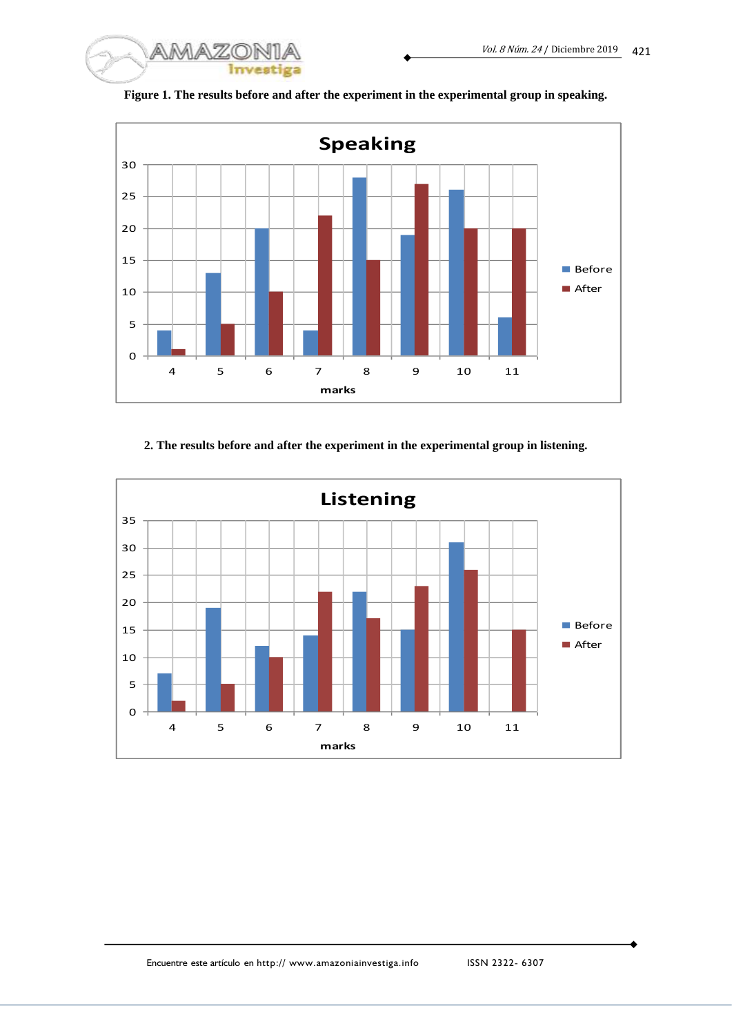



**Figure 1. The results before and after the experiment in the experimental group in speaking.**

# **2. The results before and after the experiment in the experimental group in listening.**

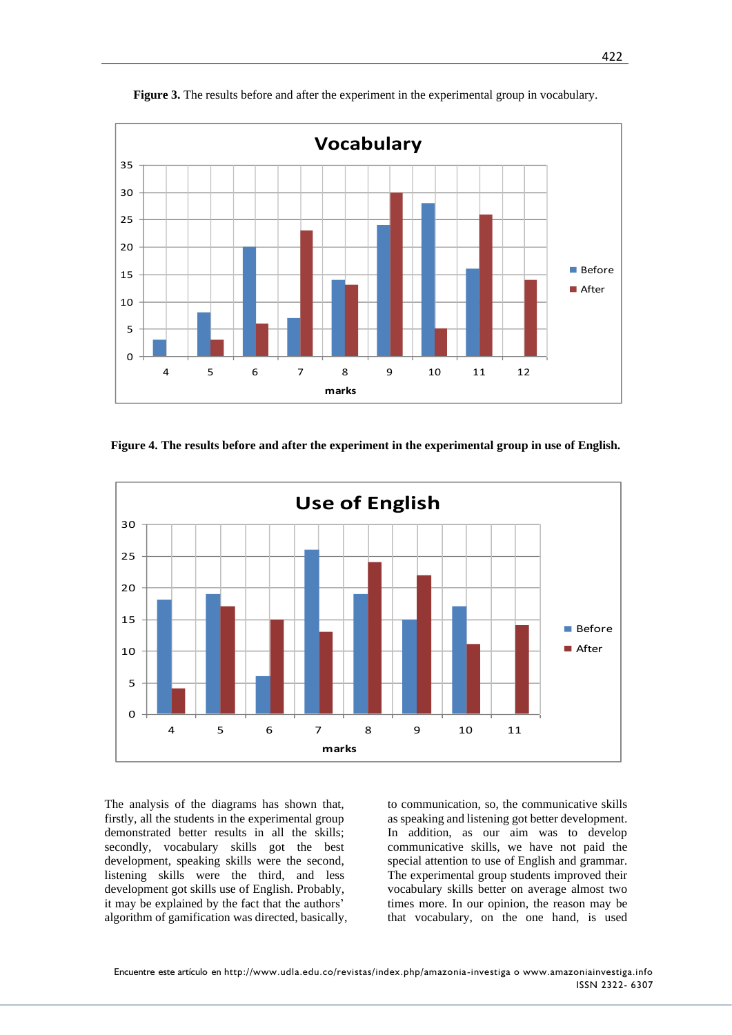

**Figure 3.** The results before and after the experiment in the experimental group in vocabulary.

**Figure 4. The results before and after the experiment in the experimental group in use of English.**



The analysis of the diagrams has shown that, firstly, all the students in the experimental group demonstrated better results in all the skills; secondly, vocabulary skills got the best development, speaking skills were the second, listening skills were the third, and less development got skills use of English. Probably, it may be explained by the fact that the authors' algorithm of gamification was directed, basically, to communication, so, the communicative skills as speaking and listening got better development. In addition, as our aim was to develop communicative skills, we have not paid the special attention to use of English and grammar. The experimental group students improved their vocabulary skills better on average almost two times more. In our opinion, the reason may be that vocabulary, on the one hand, is used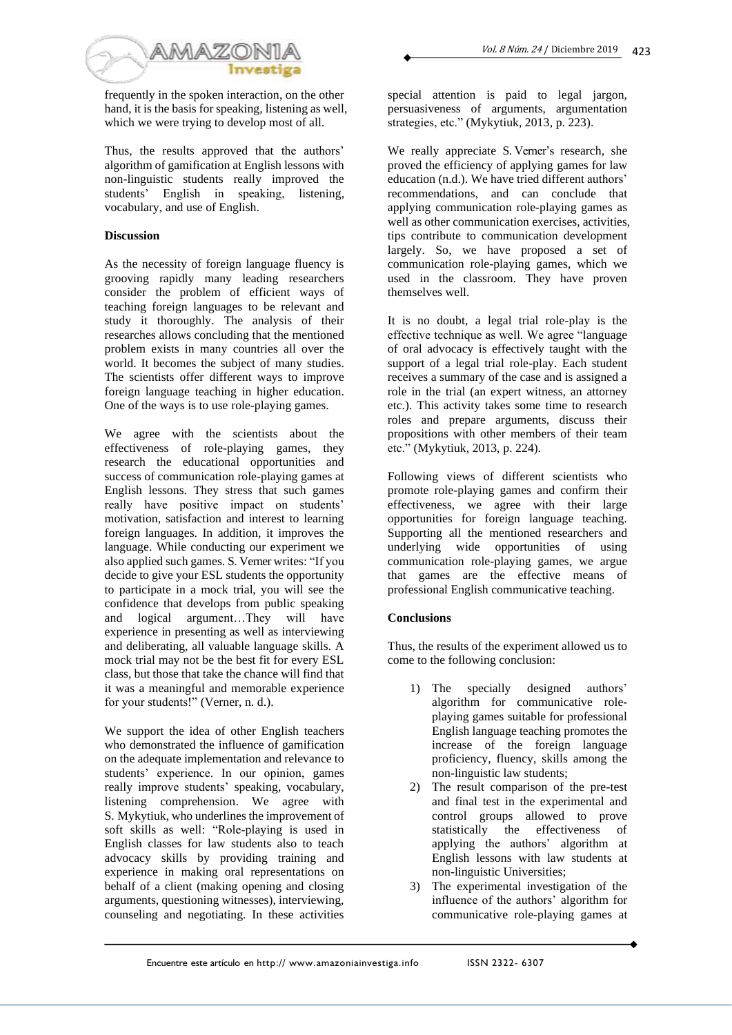

frequently in the spoken interaction, on the other hand, it is the basis for speaking, listening as well, which we were trying to develop most of all.

Thus, the results approved that the authors' algorithm of gamification at English lessons with non-linguistic students really improved the students' English in speaking, listening, vocabulary, and use of English.

# **Discussion**

As the necessity of foreign language fluency is grooving rapidly many leading researchers consider the problem of efficient ways of teaching foreign languages to be relevant and study it thoroughly. The analysis of their researches allows concluding that the mentioned problem exists in many countries all over the world. It becomes the subject of many studies. The scientists offer different ways to improve foreign language teaching in higher education. One of the ways is to use role-playing games.

We agree with the scientists about the effectiveness of role-playing games, they research the educational opportunities and success of communication role-playing games at English lessons. They stress that such games really have positive impact on students' motivation, satisfaction and interest to learning foreign languages. In addition, it improves the language. While conducting our experiment we also applied such games. S. Verner writes: "If you decide to give your ESL students the opportunity to participate in a mock trial, you will see the confidence that develops from public speaking and logical argument…They will have experience in presenting as well as interviewing and deliberating, all valuable language skills. A mock trial may not be the best fit for every ESL class, but those that take the chance will find that it was a meaningful and memorable experience for your students!" (Verner, n. d.).

We support the idea of other English teachers who demonstrated the influence of gamification on the adequate implementation and relevance to students' experience. In our opinion, games really improve students' speaking, vocabulary, listening comprehension. We agree with S. Mykytiuk, who underlines the improvement of soft skills as well: "Role-playing is used in English classes for law students also to teach advocacy skills by providing training and experience in making oral representations on behalf of a client (making opening and closing arguments, questioning witnesses), interviewing, counseling and negotiating. In these activities

special attention is paid to legal jargon, persuasiveness of arguments, argumentation strategies, etc." (Mykytiuk, 2013, p. 223).

We really appreciate S. Verner's research, she proved the efficiency of applying games for law education (n.d.). We have tried different authors' recommendations, and can conclude that applying communication role-playing games as well as other communication exercises, activities, tips contribute to communication development largely. So, we have proposed a set of communication role-playing games, which we used in the classroom. They have proven themselves well.

It is no doubt, a legal trial role-play is the effective technique as well. We agree "language of oral advocacy is effectively taught with the support of a legal trial role-play. Each student receives a summary of the case and is assigned a role in the trial (an expert witness, an attorney etc.). This activity takes some time to research roles and prepare arguments, discuss their propositions with other members of their team etc." (Mykytiuk, 2013, p. 224).

Following views of different scientists who promote role-playing games and confirm their effectiveness, we agree with their large opportunities for foreign language teaching. Supporting all the mentioned researchers and underlying wide opportunities of using communication role-playing games, we argue that games are the effective means of professional English communicative teaching.

### **Conclusions**

Thus, the results of the experiment allowed us to come to the following conclusion:

- 1) The specially designed authors' algorithm for communicative roleplaying games suitable for professional English language teaching promotes the increase of the foreign language proficiency, fluency, skills among the non-linguistic law students;
- 2) The result comparison of the pre-test and final test in the experimental and control groups allowed to prove<br>statistically the effectiveness of the effectiveness of applying the authors' algorithm at English lessons with law students at non-linguistic Universities;
- 3) The experimental investigation of the influence of the authors' algorithm for communicative role-playing games at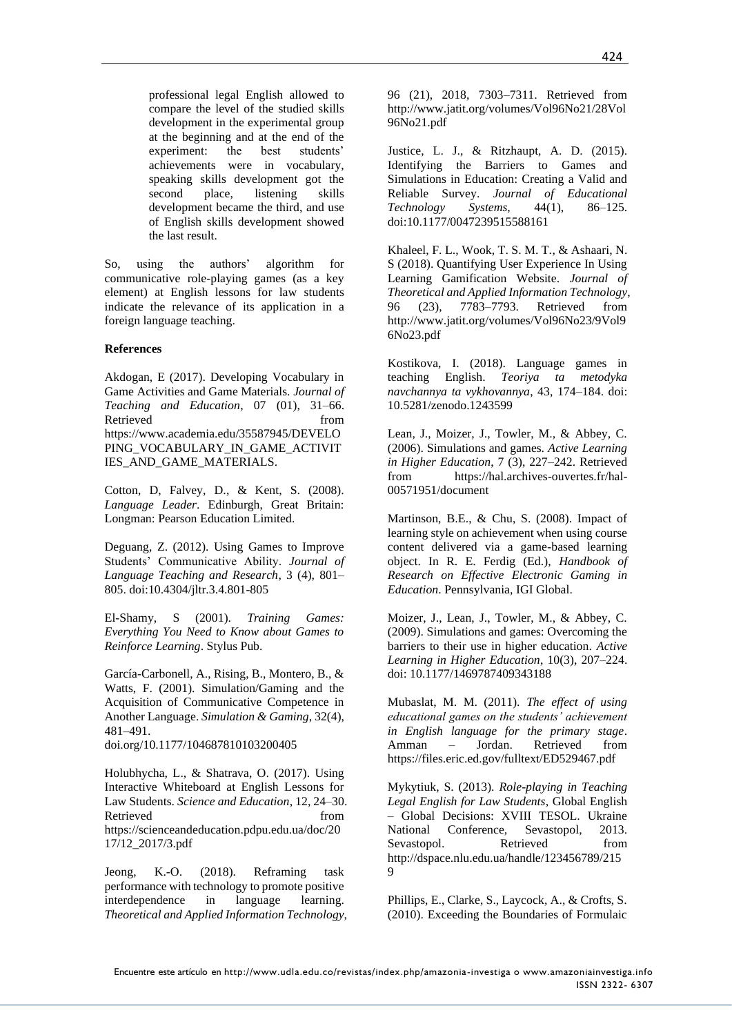professional legal English allowed to compare the level of the studied skills development in the experimental group at the beginning and at the end of the experiment: the best students' achievements were in vocabulary, speaking skills development got the second place, listening skills development became the third, and use of English skills development showed the last result.

So, using the authors' algorithm for communicative role-playing games (as a key element) at English lessons for law students indicate the relevance of its application in a foreign language teaching.

### **References**

Akdogan, E (2017). Developing Vocabulary in Game Activities and Game Materials. *Journal of Teaching and Education*, 07 (01), 31–66. Retrieved from https://www.academia.edu/35587945/DEVELO PING\_VOCABULARY\_IN\_GAME\_ACTIVIT IES\_AND\_GAME\_MATERIALS.

Cotton, D, Falvey, D., & Kent, S. (2008). *Language Leader*. Edinburgh, Great Britain: Longman: Pearson Education Limited.

Deguang, Z. (2012). Using Games to Improve Students' Communicative Ability. *Journal of Language Teaching and Research*, 3 (4), 801– 805. doi:10.4304/jltr.3.4.801-805

El-Shamy, S (2001). *Training Games: Everything You Need to Know about Games to Reinforce Learning*. Stylus Pub.

García-Carbonell, A., Rising, B., Montero, B., & Watts, F. (2001). Simulation/Gaming and the Acquisition of Communicative Competence in Another Language. *Simulation & Gaming*, 32(4), 481–491.

doi.org/10.1177/104687810103200405

Holubhycha, L., & Shatrava, O. (2017). Using Interactive Whiteboard at English Lessons for Law Students. *Science and Education*, 12, 24–30. Retrieved from  $\sim$ https://scienceandeducation.pdpu.edu.ua/doc/20 17/12\_2017/3.pdf

Jeong, K.-O. (2018). Reframing task performance with technology to promote positive interdependence in language learning. *Theoretical and Applied Information Technology,*  96 (21), 2018, 7303–7311. Retrieved from http://www.jatit.org/volumes/Vol96No21/28Vol 96No21.pdf

Justice, L. J., & Ritzhaupt, A. D. (2015). Identifying the Barriers to Games and Simulations in Education: Creating a Valid and Reliable Survey. *Journal of Educational Technology Systems,* 44(1), 86–125[.](https://doi.org/10.1177%2F0047239515588161) [doi:10.1177/0047239515588161](https://doi.org/10.1177%2F0047239515588161)

Khaleel, F. L., Wook, T. S. M. T., & Ashaari, N. S (2018). Quantifying User Experience In Using Learning Gamification Website. *Journal of Theoretical and Applied Information Technology*, 96 (23), 7783–7793. Retrieved from http://www.jatit.org/volumes/Vol96No23/9Vol9 6No23.pdf

Kostikova, I. (2018). Language games in teaching English. *Teoriya ta metodyka navchannya ta vykhovannya*, 43, 174–184. doi: 10.5281/zenodo.1243599

Lean, J., Moizer, J., Towler, M., & Abbey, C. (2006). Simulations and games. *Active Learning in Higher Education*, 7 (3), 227–242. Retrieved from [https://hal.archives-ouvertes.fr/hal-](https://hal.archives-ouvertes.fr/hal-00571951/document)[00571951/document](https://hal.archives-ouvertes.fr/hal-00571951/document)

Martinson, B.E., & Chu, S. (2008). Impact of learning style on achievement when using course content delivered via a game-based learning object. In R. E. Ferdig (Ed.), *Handbook of Research on Effective Electronic Gaming in Education*. Pennsylvania, IGI Global.

Moizer, J., Lean, J., Towler, M., & Abbey, C. (2009). Simulations and games: Overcoming the barriers to their use in higher education. *Active Learning in Higher Education*, 10(3), 207–224. doi: 10.1177/1469787409343188

Mubaslat, M. M. (2011). *The effect of using educational games on the students' achievement in English language for the primary stage*. Amman – Jordan. Retrieved from https://files.eric.ed.gov/fulltext/ED529467.pdf

Mykytiuk, S. (2013). *Role-playing in Teaching Legal English for Law Students*, Global English – Global Decisions: XVIII TESOL. Ukraine National Conference, Sevastopol, 2013. Sevastopol. Retrieved from http://dspace.nlu.edu.ua/handle/123456789/215 9

Phillips, E., Clarke, S., Laycock, A., & Crofts, S. (2010). Exceeding the Boundaries of Formulaic